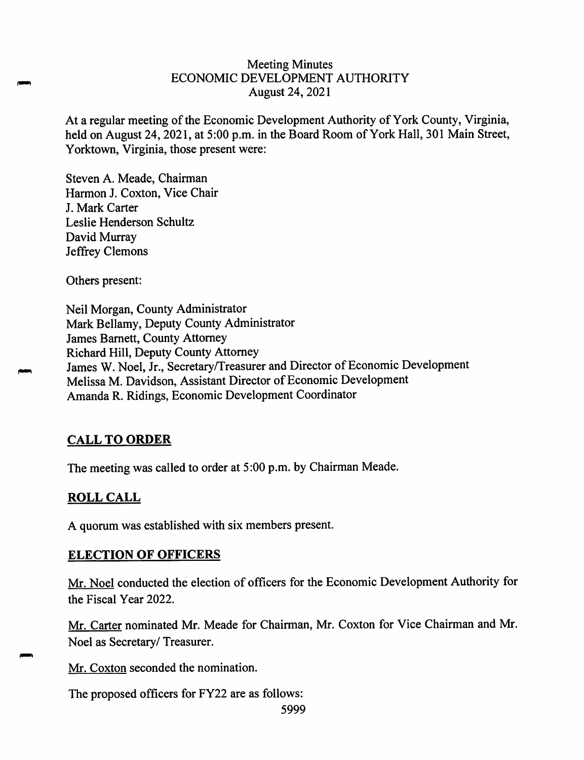## Meeting Minutes ECONOMIC DEVELOPMENT AUTHORITY August 24, 2021

At <sup>a</sup> regular meeting of the Economic Development Authority of York County, Virginia, held on August 24, 2021, at 5:00 p.m. in the Board Room of York Hall, 301 Main Street, Yorktown, Virginia, those presen<sup>t</sup> were:

Steven A. Meade, Chairman Harmon J. Coxton, Vice Chair J. Mark Carter Leslie Henderson Schultz David Murray Jeffrey Clemons

Others present:

Neil Morgan, County Administrator Mark Bellamy, Deputy County Administrator James Barnett, County Attorney Richard Hill, Deputy County Attorney James <sup>W</sup>. Noel, Jr., Secretary/Treasurer and Director of Economic Development Melissa M. Davidson, Assistant Director of Economic Development Amanda <sup>R</sup>. Ridings, Economic Development Coordinator

# **CALL TO ORDER**

The meeting was called to order at <sup>5</sup>:<sup>00</sup> p.m. by Chairman Meade.

# **ROLL CALL**

A quorum was established with six members present.

# **ELECTION OF OFFICERS**

Mr. Noel conducted the election of officers for the Economic Development Authority for the Fiscal Year 2022.

Mr. Carter nominated Mr. Meade for Chairman, Mr. Coxton for Vice Chairman and Mr. Noel as Secretary/ Treasurer.

Mr. Coxton seconded the nomination.

The proposed officers for FY22 are as follows: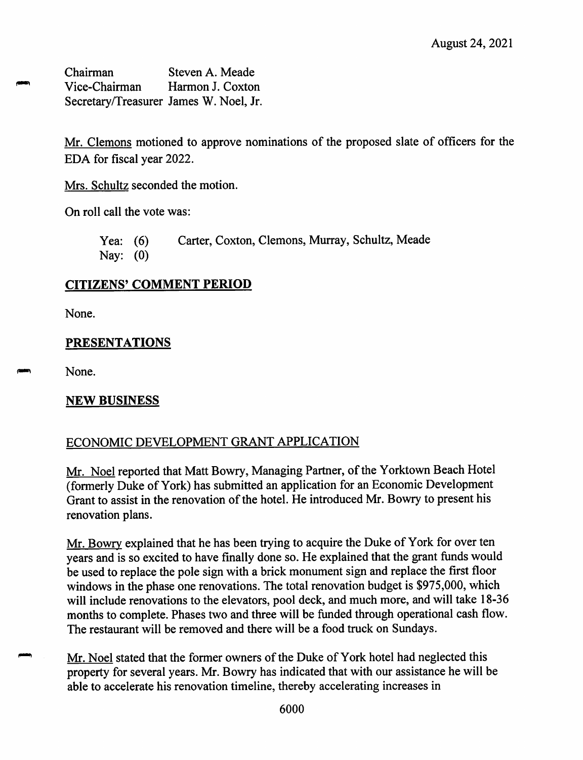Chairman Vice-Chairman Secretary/Treasurer James W. Noel, Jr. Steven A. Meade Harmon J. Coxton

Mr. Clemons motioned to approve nominations of the proposed slate of officers for the EDA for fiscal year 2022.

Mrs. Schultz seconded the motion.

On roll call the vote was:

Yea: (6) Nay: (0) Carter, Coxton, Clemons, Murray, Schultz, Meade

# **CITIZENS' COMMENT PERIOD**

None.

# **PRESENTATIONS**

None.

# **NEW BUSINESS**

# ECONOMIC DEVELOPMENT GRANT APPLICATION

Mr. Noel reported that Matt Bowry, Managing Partner, of the Yorktown Beach Hotel (formerly Duke of York) has submitted an application for an Economic Development Grant to assist in the renovation of the hotel. He introduced Mr. Bowry to presen<sup>t</sup> his renovation plans.

Mr. Bowry explained that he has been trying to acquire the Duke of York for over ten years and is so excited to have finally done so. He explained that the gran<sup>t</sup> funds would be used to replace the pole sign with <sup>a</sup> brick monument sign and replace the first floor windows in the phase one renovations. The total renovation budget is \$975,000, which will include renovations to the elevators, poo<sup>l</sup> deck, and much more, and will take 18-36 months to complete. Phases two and three will be funded through operational cash flow. The restaurant will be removed and there will be <sup>a</sup> food truck on Sundays.

Mr. Noel stated that the former owners of the Duke of York hotel had neglected this property for several years. Mr. Bowry has indicated that with our assistance he will be able to accelerate his renovation timeline, thereby accelerating increases in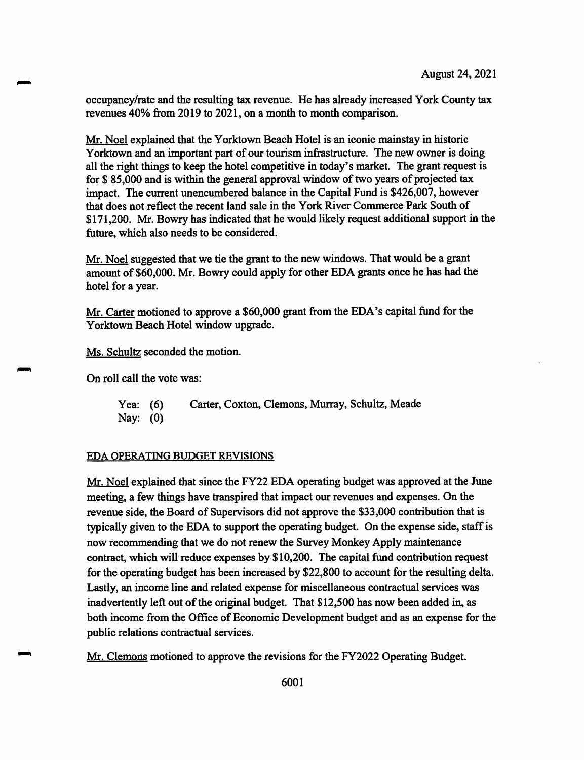occupancy/rate and the resulting tax revenue. He has already increased York County tax revenues 40% from 2019 to 2021, on a month to month comparison.

Mr. Noel explained that the Yorktown Beach Hotel is an iconic mainstay in historic Yorktown and an important part of our tourism infrastructure. The new owner is doing all the right things to keep the hotel competitive in today's market. The grant request is for \$ 85,000 and is within the general approval window of two years of projected tax impact. The current unencumbered balance in the Capital Fund is \$426,007, however that does not reflect the recent land sale in the York River Commerce Park South of \$171,200. Mr. Bowry has indicated that he would likely request additional support in the future, which also needs to be considered.

Mr. Noel suggested that we tie the grant to the new windows. That would be a grant amount of \$60,000. Mr. Bowry could apply for other EDA grants once he has had the hotel for a year.

Mr.Carter motioned to approve <sup>a</sup> \$60,000 grant from the EDA's capital fund for the Yorktown Beach Hotel window upgrade.

Ms. Schultz seconded the motion.

On roll call the vote was:

Yea: (6) Carter, Coxton, Clemons, Murray, Schultz, Meade Nay: (0)

### EDA OPERATING BUDGET REVISIONS

Mr. Noel explained that since the FY22 EDA operating budget was approved at the June meeting, a few things have transpired that impact our revenues and expenses. On the revenue side, the Board of Supervisors did not approve the \$33,000 contribution that is typically given to the EDA to support the operating budget. On the expense side, staff is now recommending that we do not renew the Survey Monkey Apply maintenance contract, which will reduce expenses by \$10,200. The capital fund contribution request for the operating budget has been increased by \$22,800 to account for the resulting delta. Lastly, an income line and related expense for miscellaneous contractual services was inadvertently left out of the original budget. That \$12,500 has now been added in, as both income from the Office of Economic Development budget and as an expense for the public relations contractual services.

Mr. Clemons motioned to approve the revisions for the FY2022 Operating Budget.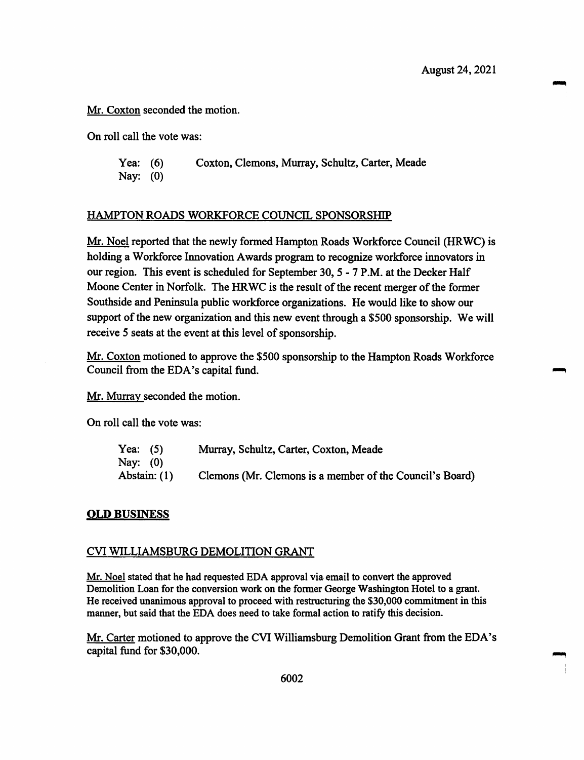Mr. Coxton seconded the motion.

On roll call the vote was:

Yea: (6) Coxton, Clemons, Murray, Schultz, Carter, Meade Nay: (0)

#### HAMPTON ROADS WORKFORCE COUNCIL SPONSORSHIP

Mr. Noel reported that the newly formed Hampton Roads Workforce Council (HRWC) is holding a Workforce Innovation Awards program to recognize workforce innovators in our region. This event is scheduled for September 30, 5 - 7 P.M. at the Decker Half Moone Center in Norfolk. The HRWC is the result of the recent merger of the former Southside and Peninsula public workforce organizations. He would like to show our support of the new organization and this new event through a \$500 sponsorship. We will receive 5 seats at the event at this level of sponsorship.

Mr. Coxton motioned to approve the \$500 sponsorship to the Hampton Roads Workforce Council from the EDA's capital fund.

Mr. Murray seconded the motion.

On roll call the vote was:

| Yea: $(5)$   | Murray, Schultz, Carter, Coxton, Meade                   |
|--------------|----------------------------------------------------------|
| Nay: (0)     |                                                          |
| Abstain: (1) | Clemons (Mr. Clemons is a member of the Council's Board) |

#### OLD BUSINESS

#### CVI WILLIAMSBURG DEMOLITION GRANT

Mr. Noel stated that he had requested EDA approval via email to convert the approved Demolition Loan for the conversion work on the former George Washington Hotel to a grant. He received unanimous approval to proceed with restructuring the \$30,000 commitment in this manner, but said that the EDA does need to take formal action to ratify this decision.

Mr.Carter motioned to approve the CVI Williamsburg Demolition Grant from the EDA's capital fund for \$30,000.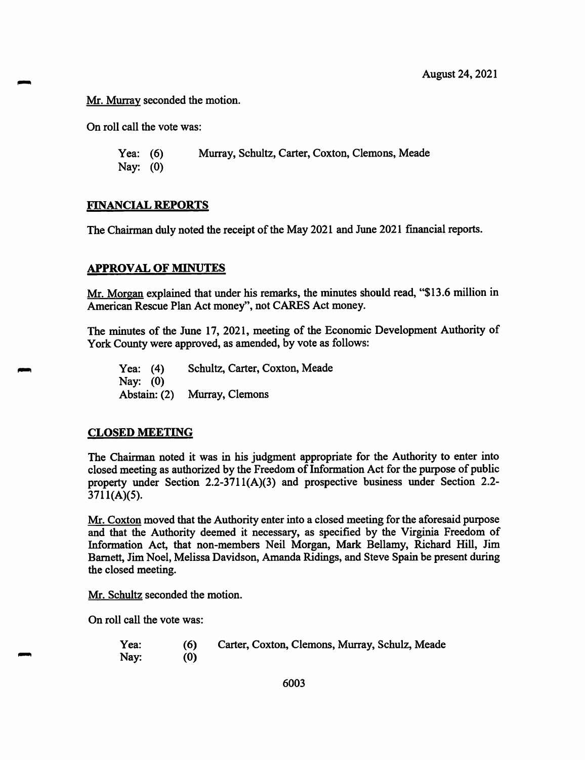Mr. Murray seconded the motion.

On roll call the vote was:

Yea: (6) Nay: (0) Murray, Schultz, Carter, Coxton, Clemons, Meade

### FINANCIAL REPORTS

The Chairman duly noted the receipt of the May 2021 and June <sup>2021</sup> financial reports.

## APPROVAL OF MINUTES

Mr. Morgan explained that under his remarks, the minutes should read, "\$13.6 million in American Rescue Plan Act money", not CARES Act money.

The minutes of the June 17, 2021, meeting of the Economic Development Authority of York County were approved, as amended, by vote as follows:

Yea: (4) Schultz, Carter, Coxton, Meade Nay: (0) Abstain:(2) Murray, Clemons

### CLOSED MEETING

The Chairman noted it was in his judgment appropriate for the Authority to enter into closed meeting as authorized by the Freedom of Information Act for the purpose of public property under Section 2.2-3711(A)(3) and prospective business under Section 2.2- 3711(A)(5).

Mr.Coxton moved that the Authority enter into <sup>a</sup> closed meeting for the aforesaid purpose and that the Authority deemed it necessary, as specified by the Virginia Freedom of Information Act, that non-members Neil Morgan, Mark Bellamy, Richard Hill, Jim Barnett, Jim Noel, Melissa Davidson, Amanda Ridings, and Steve Spain be present during the closed meeting.

Mr. Schultz seconded the motion.

On roll call the vote was:

| Yea: | (6) | Carter, Coxton, Clemons, Murray, Schulz, Meade |
|------|-----|------------------------------------------------|
| Nay: | (0) |                                                |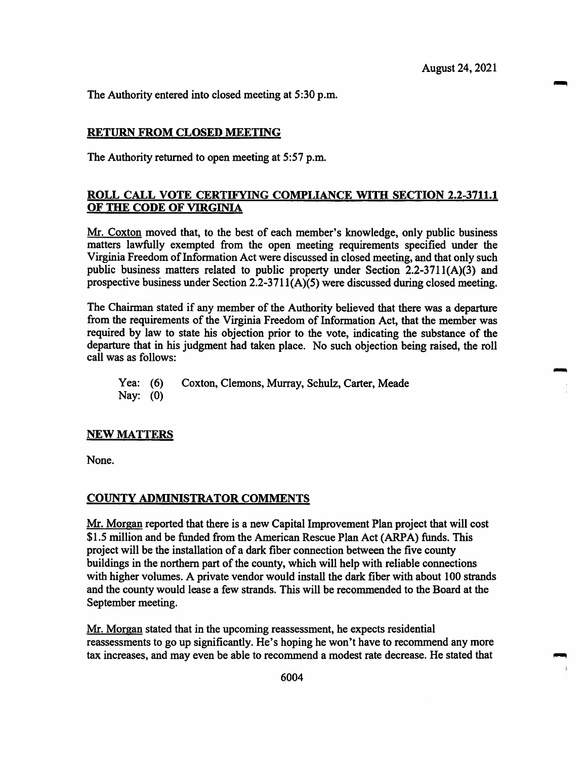The Authority entered into closed meeting at 5:30 p.m.

#### RETURN FROM CLOSED MEETING

The Authority returned to open meeting at 5:57 p.m.

### ROLL CALL VOTE CERTIFYING COMPLIANCE WITH SECTION 2.2-3711.1 OF THE CODE OF VIRGINIA

Mr. Coxton moved that, to the best of each member's knowledge, only public business matters lawfully exempted from the open meeting requirements specified under the Virginia Freedom of Information Act were discussed in closed meeting, and that only such public business matters related to public property under Section 2.2-3711(A)(3) and prospective business under Section 2.2-3711(A)(5) were discussed during closed meeting.

The Chairman stated if any member of the Authority believed that there was a departure from the requirements of die Virginia Freedom of Information Act, that the member was required by law to state his objection prior to the vote, indicating the substance of the departure that in his judgment had taken place. No such objection being raised, the roll call was as follows:

Yea: (6) Coxton, Clemons, Murray, Schulz, Carter, Meade Nay: (0)

#### NEW MATTERS

None.

### COUNTY ADMINISTRATOR COMMENTS

Mr. Morgan reported that there is a new Capital Improvement Plan project that will cost \$1.5 million and be funded from the American Rescue Plan Act (ARPA) funds. This project will be the installation of a dark fiber connection between the five county buildings in the northern part of the county, which will help with reliable connections with higher volumes. A private vendor would install the dark fiber with about 100 strands and the county would lease a few strands. This will be recommended to the Board at the September meeting.

Mr. Morgan stated that in the upcoming reassessment, he expects residential reassessments to go up significantly. He's hoping he won't have to recommend any more tax increases, and may even be able to recommend a modest rate decrease. He stated that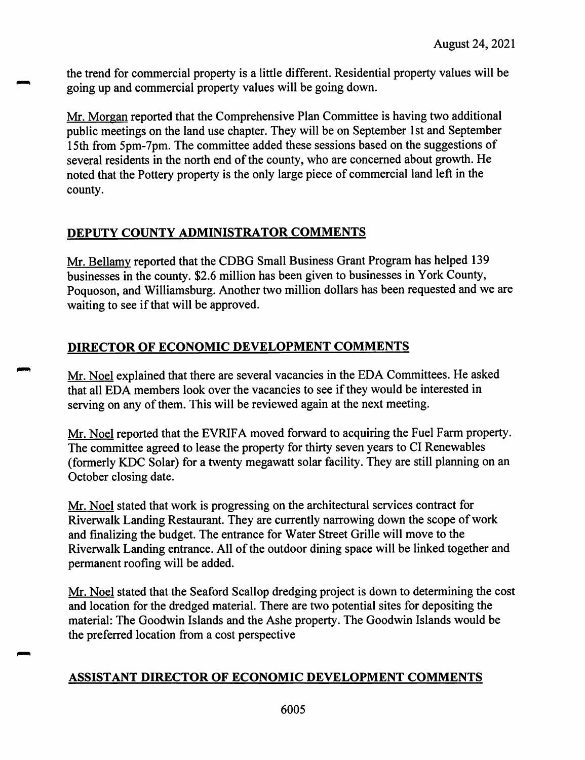the trend for commercial property is <sup>a</sup> little different. Residential property values will be going up and commercial property values will be going down.

Mr. Morgan reported that the Comprehensive Plan Committee is having two additional public meetings on the land use chapter. They will be on September 1st and September 15th from 5pm-7pm. The committee added these sessions based on the suggestions of several residents in the north end of the county, who are concerned about growth. He noted that the Pottery property is the only large <sup>p</sup>iece of commercial land left in the county.

# **DEPUTY COUNTY ADMINISTRATOR COMMENTS**

Mr. Bellamy reported that the CDBG Small Business Grant Program has helped <sup>139</sup> businesses in the county. \$2.6 million has been <sup>g</sup>iven to businesses in York County, Poquoson, and Williamsburg. Another two million dollars has been requested and we are waiting to see if that will be approved.

# **DIRECTOR OF ECONOMIC DEVELOPMENT COMMENTS**

Mr. Noel explained that there are several vacancies in the EDA Committees. He asked that all EDA members look over the vacancies to see if they would be interested in serving on any of them. This will be reviewed again at the next meeting.

Mr. Noel reported that the EVRIFA moved forward to acquiring the Fuel Farm property. The committee agreed to lease the property for thirty seven years to Cl Renewables (formerly KDC Solar) for <sup>a</sup> twenty megawatt solar facility. They are still <sup>p</sup>lanning on an October closing date.

Mr. Noel stated that work is progressing on the architectural services contract for Riverwalk Landing Restaurant. They are currently narrowing down the scope of work and finalizing the budget. The entrance for Water Street Grille will move to the Riverwalk Landing entrance. All of the outdoor dining space will be linked together and permanen<sup>t</sup> roofing will be added.

Mr. Noel stated that the Seaford Scallop dredging project is down to determining the cost and location for the dredged material. There are two potential sites for depositing the material: The Goodwin Islands and the Ashe property. The Goodwin Islands would be the preferred location from <sup>a</sup> cost perspective

# **ASSISTANT DIRECTOR OF ECONOMIC DEVELOPMENT COMMENTS**